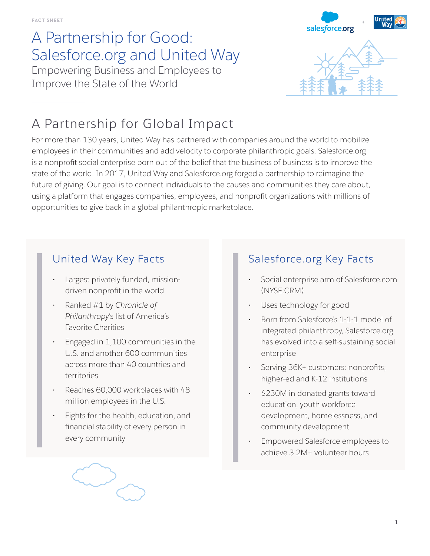## A Partnership for Good: Salesforce.org and United Way Empowering Business and Employees to

Improve the State of the World



## A Partnership for Global Impact

For more than 130 years, United Way has partnered with companies around the world to mobilize employees in their communities and add velocity to corporate philanthropic goals. Salesforce.org is a nonprofit social enterprise born out of the belief that the business of business is to improve the state of the world. In 2017, United Way and Salesforce.org forged a partnership to reimagine the future of giving. Our goal is to connect individuals to the causes and communities they care about, using a platform that engages companies, employees, and nonprofit organizations with millions of opportunities to give back in a global philanthropic marketplace.

## United Way Key Facts

- Largest privately funded, missiondriven nonprofit in the world
- Ranked #1 by *Chronicle of Philanthropy*'s list of America's Favorite Charities
- Engaged in 1,100 communities in the U.S. and another 600 communities across more than 40 countries and territories
- Reaches 60,000 workplaces with 48 million employees in the U.S.
- Fights for the health, education, and financial stability of every person in every community



### Salesforce.org Key Facts

- Social enterprise arm of Salesforce.com (NYSE:CRM)
- Uses technology for good
- Born from Salesforce's 1-1-1 model of integrated philanthropy, Salesforce.org has evolved into a self-sustaining social enterprise
- Serving 36K+ customers: nonprofits; higher-ed and K-12 institutions
- \$230M in donated grants toward education, youth workforce development, homelessness, and community development
- Empowered Salesforce employees to achieve 3.2M+ volunteer hours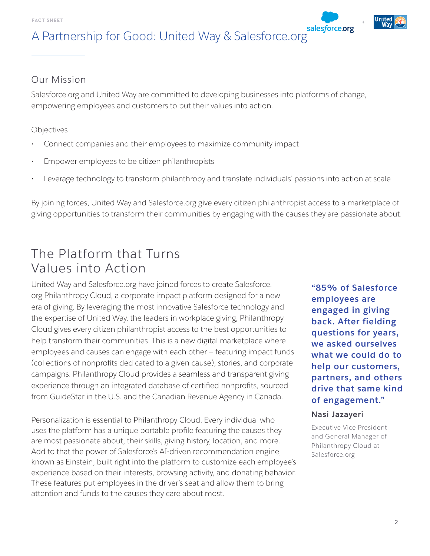## A Partnership for Good: United Way & Salesforce.org

### Our Mission

Salesforce.org and United Way are committed to developing businesses into platforms of change, empowering employees and customers to put their values into action.

#### **Objectives**

- Connect companies and their employees to maximize community impact
- Empower employees to be citizen philanthropists
- Leverage technology to transform philanthropy and translate individuals' passions into action at scale

By joining forces, United Way and Salesforce.org give every citizen philanthropist access to a marketplace of giving opportunities to transform their communities by engaging with the causes they are passionate about.

## The Platform that Turns Values into Action

United Way and Salesforce.org have joined forces to create Salesforce. org Philanthropy Cloud, a corporate impact platform designed for a new era of giving. By leveraging the most innovative Salesforce technology and the expertise of United Way, the leaders in workplace giving, Philanthropy Cloud gives every citizen philanthropist access to the best opportunities to help transform their communities. This is a new digital marketplace where employees and causes can engage with each other — featuring impact funds (collections of nonprofits dedicated to a given cause), stories, and corporate campaigns. Philanthropy Cloud provides a seamless and transparent giving experience through an integrated database of certified nonprofits, sourced from GuideStar in the U.S. and the Canadian Revenue Agency in Canada.

Personalization is essential to Philanthropy Cloud. Every individual who uses the platform has a unique portable profile featuring the causes they are most passionate about, their skills, giving history, location, and more. Add to that the power of Salesforce's AI-driven recommendation engine, known as Einstein, built right into the platform to customize each employee's experience based on their interests, browsing activity, and donating behavior. These features put employees in the driver's seat and allow them to bring attention and funds to the causes they care about most.

**"85% of Salesforce employees are engaged in giving back. After fielding questions for years, we asked ourselves what we could do to help our customers, partners, and others drive that same kind of engagement."**

#### **Nasi Jazayeri**

Executive Vice President and General Manager of Philanthropy Cloud at Salesforce.org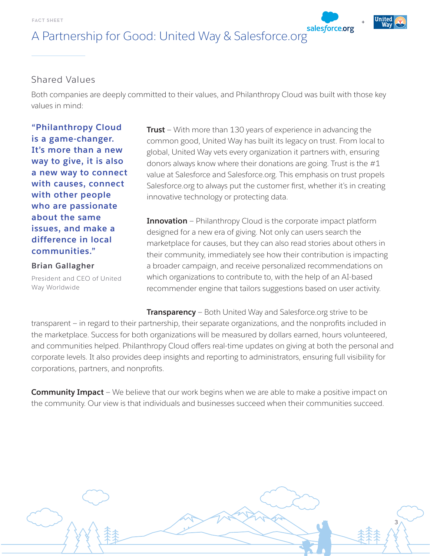# A Partnership for Good: United Way & Salesforce.org

#### Shared Values

Both companies are deeply committed to their values, and Philanthropy Cloud was built with those key values in mind:

**"Philanthropy Cloud is a game-changer. It's more than a new way to give, it is also a new way to connect with causes, connect with other people who are passionate about the same issues, and make a difference in local communities."**

**Brian Gallagher**

President and CEO of United Way Worldwide

**Trust** — With more than 130 years of experience in advancing the common good, United Way has built its legacy on trust. From local to global, United Way vets every organization it partners with, ensuring donors always know where their donations are going. Trust is the #1 value at Salesforce and Salesforce.org. This emphasis on trust propels Salesforce.org to always put the customer first, whether it's in creating innovative technology or protecting data.

**Innovation** – Philanthropy Cloud is the corporate impact platform designed for a new era of giving. Not only can users search the marketplace for causes, but they can also read stories about others in their community, immediately see how their contribution is impacting a broader campaign, and receive personalized recommendations on which organizations to contribute to, with the help of an AI-based recommender engine that tailors suggestions based on user activity.

3

**Transparency** — Both United Way and Salesforce.org strive to be transparent — in regard to their partnership, their separate organizations, and the nonprofits included in the marketplace. Success for both organizations will be measured by dollars earned, hours volunteered, and communities helped. Philanthropy Cloud offers real-time updates on giving at both the personal and corporate levels. It also provides deep insights and reporting to administrators, ensuring full visibility for corporations, partners, and nonprofits.

**Community Impact** – We believe that our work begins when we are able to make a positive impact on the community. Our view is that individuals and businesses succeed when their communities succeed.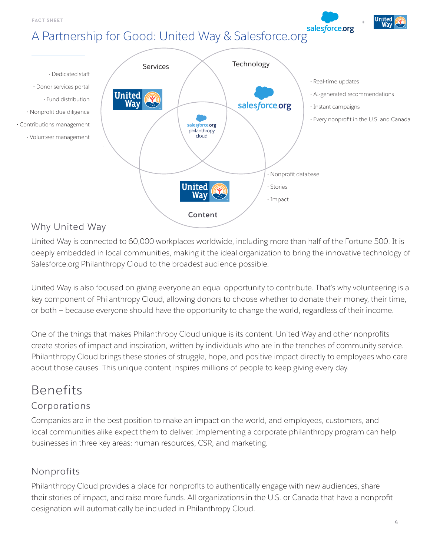A Partnership for Good: United Way & Salesforce.org



### Why United Way

United Way is connected to 60,000 workplaces worldwide, including more than half of the Fortune 500. It is deeply embedded in local communities, making it the ideal organization to bring the innovative technology of Salesforce.org Philanthropy Cloud to the broadest audience possible.

United Way is also focused on giving everyone an equal opportunity to contribute. That's why volunteering is a key component of Philanthropy Cloud, allowing donors to choose whether to donate their money, their time, or both — because everyone should have the opportunity to change the world, regardless of their income.

One of the things that makes Philanthropy Cloud unique is its content. United Way and other nonprofits create stories of impact and inspiration, written by individuals who are in the trenches of community service. Philanthropy Cloud brings these stories of struggle, hope, and positive impact directly to employees who care about those causes. This unique content inspires millions of people to keep giving every day.

# Benefits

### Corporations

Companies are in the best position to make an impact on the world, and employees, customers, and local communities alike expect them to deliver. Implementing a corporate philanthropy program can help businesses in three key areas: human resources, CSR, and marketing.

### Nonprofits

Philanthropy Cloud provides a place for nonprofits to authentically engage with new audiences, share their stories of impact, and raise more funds. All organizations in the U.S. or Canada that have a nonprofit designation will automatically be included in Philanthropy Cloud.